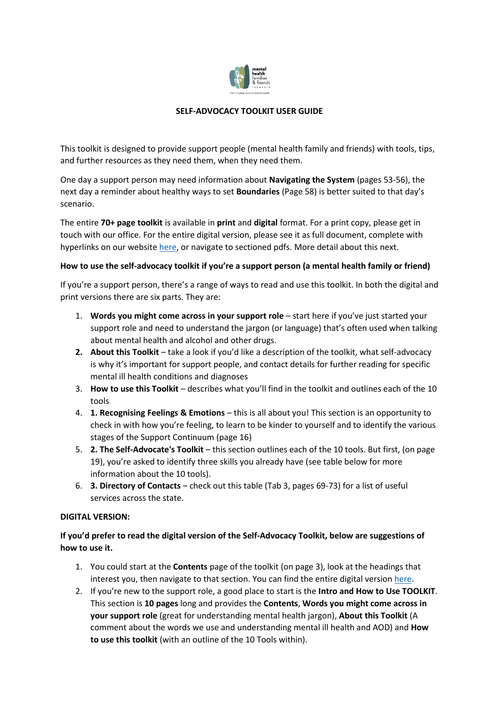

# **SELF-ADVOCACY TOOLKIT USER GUIDE**

This toolkit is designed to provide support people (mental health family and friends) with tools, tips, and further resources as they need them, when they need them.

One day a support person may need information about **Navigating the System** (pages 53-56), the next day a reminder about healthy ways to set **Boundaries** (Page 58) is better suited to that day's scenario.

The entire **70+ page toolkit** is available in **print** and **digital** format. For a print copy, please get in touch with our office. For the entire digital version, please see it as full document, complete with hyperlinks on our website [here,](https://mhfamiliesfriendstas.org.au/wp-content/uploads/2022/06/MAIN-S_1-min.pdf) or navigate to sectioned pdfs. More detail about this next.

## **How to use the self-advocacy toolkit if you're a support person (a mental health family or friend)**

If you're a support person, there's a range of ways to read and use this toolkit. In both the digital and print versions there are six parts. They are:

- 1. **Words you might come across in your support role**  start here if you've just started your support role and need to understand the jargon (or language) that's often used when talking about mental health and alcohol and other drugs.
- **2. About this Toolkit** take a look if you'd like a description of the toolkit, what self-advocacy is why it's important for support people, and contact details for further reading for specific mental ill health conditions and diagnoses
- 3. **How to use this Toolkit** describes what you'll find in the toolkit and outlines each of the 10 tools
- 4. **1. Recognising Feelings & Emotions** this is all about you! This section is an opportunity to check in with how you're feeling, to learn to be kinder to yourself and to identify the various stages of the Support Continuum (page 16)
- 5. **2. The Self-Advocate's Toolkit** this section outlines each of the 10 tools. But first, (on page 19), you're asked to identify three skills you already have (see table below for more information about the 10 tools).
- 6. **3. Directory of Contacts**  check out this table (Tab 3, pages 69-73) for a list of useful services across the state.

## **DIGITAL VERSION:**

# **If you'd prefer to read the digital version of the Self-Advocacy Toolkit, below are suggestions of how to use it.**

- 1. You could start at the **Contents** page of the toolkit (on page 3), look at the headings that interest you, then navigate to that section. You can find the entire digital versio[n here.](https://mhfamiliesfriendstas.org.au/wp-content/uploads/2022/06/MAIN-S_1-min.pdf)
- 2. If you're new to the support role, a good place to start is the **Intro and How to Use TOOLKIT**. This section is **10 pages** long and provides the **Contents**, **Words you might come across in your support role** (great for understanding mental health jargon), **About this Toolkit** (A comment about the words we use and understanding mental ill health and AOD) and **How to use this toolkit** (with an outline of the 10 Tools within).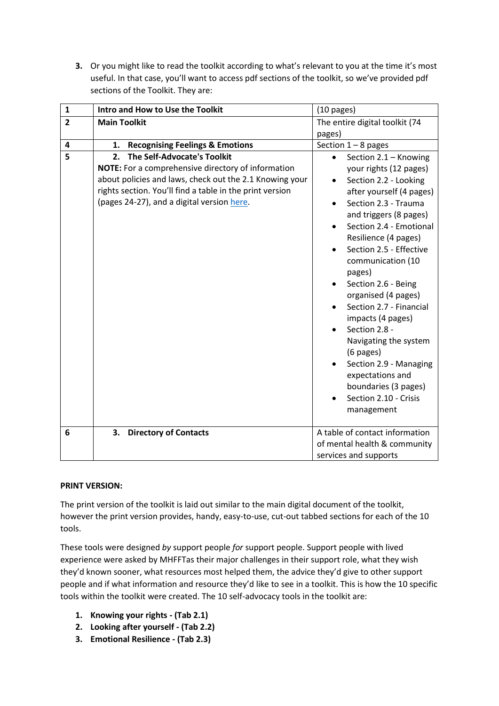**3.** Or you might like to read the toolkit according to what's relevant to you at the time it's most useful. In that case, you'll want to access pdf sections of the toolkit, so we've provided pdf sections of the Toolkit. They are:

| $\mathbf{1}$   | Intro and How to Use the Toolkit                                                                                                                                                                                                                                    | $(10 \text{ pages})$                                                                                                                                                                                                                                                                          |
|----------------|---------------------------------------------------------------------------------------------------------------------------------------------------------------------------------------------------------------------------------------------------------------------|-----------------------------------------------------------------------------------------------------------------------------------------------------------------------------------------------------------------------------------------------------------------------------------------------|
| $\overline{2}$ | <b>Main Toolkit</b>                                                                                                                                                                                                                                                 | The entire digital toolkit (74                                                                                                                                                                                                                                                                |
|                |                                                                                                                                                                                                                                                                     | pages)                                                                                                                                                                                                                                                                                        |
| 4              | <b>Recognising Feelings &amp; Emotions</b><br>1.                                                                                                                                                                                                                    | Section $1 - 8$ pages                                                                                                                                                                                                                                                                         |
| 5              | <b>The Self-Advocate's Toolkit</b><br>2.<br>NOTE: For a comprehensive directory of information<br>about policies and laws, check out the 2.1 Knowing your<br>rights section. You'll find a table in the print version<br>(pages 24-27), and a digital version here. | Section 2.1 - Knowing<br>$\bullet$<br>your rights (12 pages)<br>Section 2.2 - Looking<br>after yourself (4 pages)<br>Section 2.3 - Trauma<br>and triggers (8 pages)<br>Section 2.4 - Emotional<br>Resilience (4 pages)<br>Section 2.5 - Effective                                             |
|                |                                                                                                                                                                                                                                                                     | communication (10<br>pages)<br>Section 2.6 - Being<br>organised (4 pages)<br>Section 2.7 - Financial<br>impacts (4 pages)<br>Section 2.8 -<br>Navigating the system<br>(6 pages)<br>Section 2.9 - Managing<br>expectations and<br>boundaries (3 pages)<br>Section 2.10 - Crisis<br>management |
| 6              | 3.<br><b>Directory of Contacts</b>                                                                                                                                                                                                                                  | A table of contact information<br>of mental health & community<br>services and supports                                                                                                                                                                                                       |

# **PRINT VERSION:**

The print version of the toolkit is laid out similar to the main digital document of the toolkit, however the print version provides, handy, easy-to-use, cut-out tabbed sections for each of the 10 tools.

These tools were designed *by* support people *for* support people. Support people with lived experience were asked by MHFFTas their major challenges in their support role, what they wish they'd known sooner, what resources most helped them, the advice they'd give to other support people and if what information and resource they'd like to see in a toolkit. This is how the 10 specific tools within the toolkit were created. The 10 self-advocacy tools in the toolkit are:

- **1. Knowing your rights - (Tab 2.1)**
- **2. Looking after yourself - (Tab 2.2)**
- **3. Emotional Resilience - (Tab 2.3)**